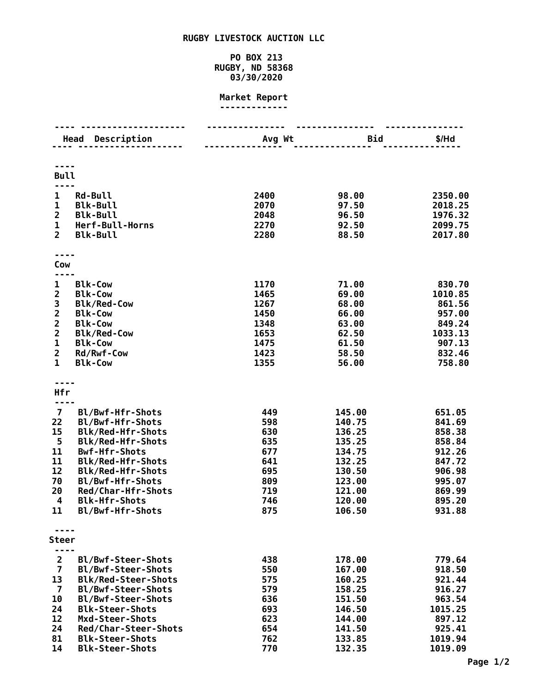## **RUGBY LIVESTOCK AUCTION LLC**

## **PO BOX 213 RUGBY, ND 58368 03/30/2020**

## **Market Report -------------**

|                              | <b>Head Description</b>                        | Avg Wt       | Bid              | $$/$ Hd           |
|------------------------------|------------------------------------------------|--------------|------------------|-------------------|
|                              |                                                |              |                  |                   |
| <b>Bull</b>                  |                                                |              |                  |                   |
| 1                            | <b>Rd-Bull</b>                                 | 2400         | 98.00            | 2350.00           |
| $\mathbf{1}$                 | <b>Blk-Bull</b>                                | 2070         | 97.50            | 2018.25           |
| $\overline{2}$               | <b>Blk-Bull</b>                                | 2048         | 96.50            | 1976.32           |
| $\mathbf{1}$                 | Herf-Bull-Horns                                | 2270         | 92.50            | 2099.75           |
| $\overline{2}$               | <b>Blk-Bull</b>                                | 2280         | 88.50            | 2017.80           |
|                              |                                                |              |                  |                   |
| Cow                          |                                                |              |                  |                   |
|                              |                                                |              |                  |                   |
| 1                            | <b>Blk-Cow</b>                                 | 1170         | 71.00            | 830.70            |
| $\overline{\mathbf{2}}$<br>3 | <b>Blk-Cow</b><br><b>Blk/Red-Cow</b>           | 1465<br>1267 | 69.00<br>68.00   | 1010.85<br>861.56 |
| $\overline{\mathbf{c}}$      | <b>Blk-Cow</b>                                 | 1450         | 66.00            | 957.00            |
| $\overline{\mathbf{c}}$      | <b>Blk-Cow</b>                                 | 1348         | 63.00            | 849.24            |
| $\overline{\mathbf{c}}$      | <b>Blk/Red-Cow</b>                             | 1653         | 62.50            | 1033.13           |
| $\mathbf{1}$                 | <b>Blk-Cow</b>                                 | 1475         | 61.50            | 907.13            |
| $\overline{2}$               | Rd/Rwf-Cow                                     | 1423         | 58.50            | 832.46            |
| $\mathbf{1}$                 | <b>Blk-Cow</b>                                 | 1355         | 56.00            | 758.80            |
|                              |                                                |              |                  |                   |
| Hfr                          |                                                |              |                  |                   |
|                              |                                                |              |                  |                   |
| $\overline{7}$               | Bl/Bwf-Hfr-Shots                               | 449          | 145.00           | 651.05            |
| 22<br>15                     | Bl/Bwf-Hfr-Shots<br>Blk/Red-Hfr-Shots          | 598<br>630   | 140.75<br>136.25 | 841.69<br>858.38  |
| 5                            | <b>Blk/Red-Hfr-Shots</b>                       | 635          | 135.25           | 858.84            |
| 11                           | <b>Bwf-Hfr-Shots</b>                           | 677          | 134.75           | 912.26            |
| 11                           | Blk/Red-Hfr-Shots                              | 641          | 132.25           | 847.72            |
| 12                           | <b>Blk/Red-Hfr-Shots</b>                       | 695          | 130.50           | 906.98            |
| 70                           | Bl/Bwf-Hfr-Shots                               | 809          | 123.00           | 995.07            |
| 20                           | Red/Char-Hfr-Shots                             | 719          | 121.00           | 869.99            |
| 4<br>11                      | <b>Blk-Hfr-Shots</b><br>Bl/Bwf-Hfr-Shots       | 746<br>875   | 120.00<br>106.50 | 895.20<br>931.88  |
|                              |                                                |              |                  |                   |
|                              |                                                |              |                  |                   |
| <b>Steer</b>                 |                                                |              |                  |                   |
| $\overline{2}$               | Bl/Bwf-Steer-Shots                             | 438          | 178.00           | 779.64            |
| $\overline{\mathbf{z}}$      | Bl/Bwf-Steer-Shots                             | 550          | 167.00           | 918.50            |
| 13                           | <b>Blk/Red-Steer-Shots</b>                     | 575          | 160.25           | 921.44            |
| $\overline{\mathbf{z}}$      | Bl/Bwf-Steer-Shots                             | 579          | 158.25           | 916.27            |
| 10                           | Bl/Bwf-Steer-Shots                             | 636          | 151.50           | 963.54            |
| 24                           | <b>Blk-Steer-Shots</b>                         | 693          | 146.50           | 1015.25           |
| 12                           | Mxd-Steer-Shots                                | 623          | 144.00           | 897.12            |
| 24<br>81                     | Red/Char-Steer-Shots<br><b>Blk-Steer-Shots</b> | 654<br>762   | 141.50<br>133.85 | 925.41<br>1019.94 |
| 14                           | <b>Blk-Steer-Shots</b>                         | 770          | 132.35           | 1019.09           |